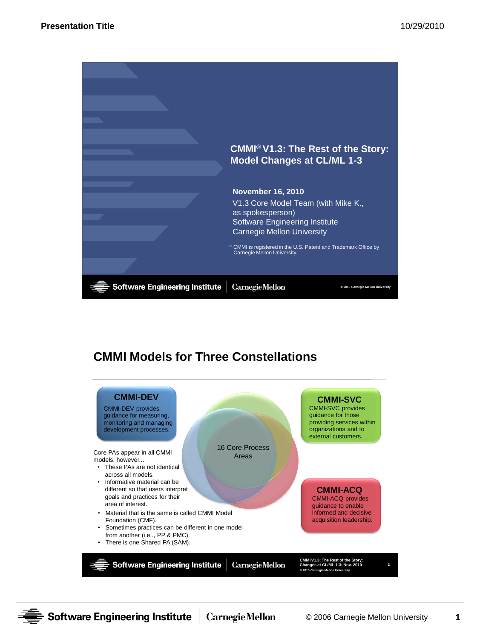

# **CMMI Models for Three Constellations**



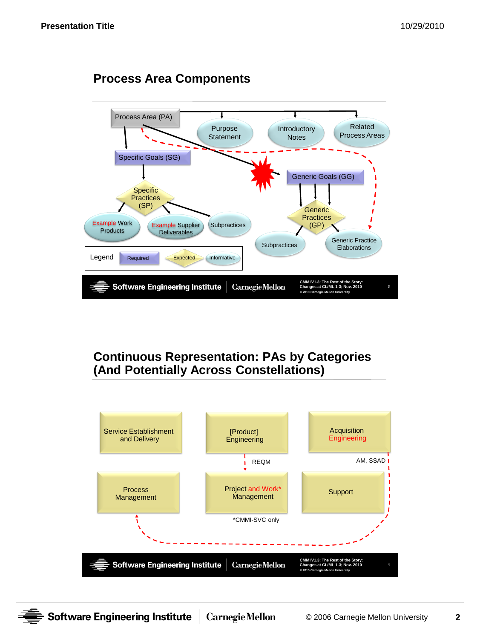

# **Process Area Components**

## **Continuous Representation: PAs by Categories (And Potentially Across Constellations)**



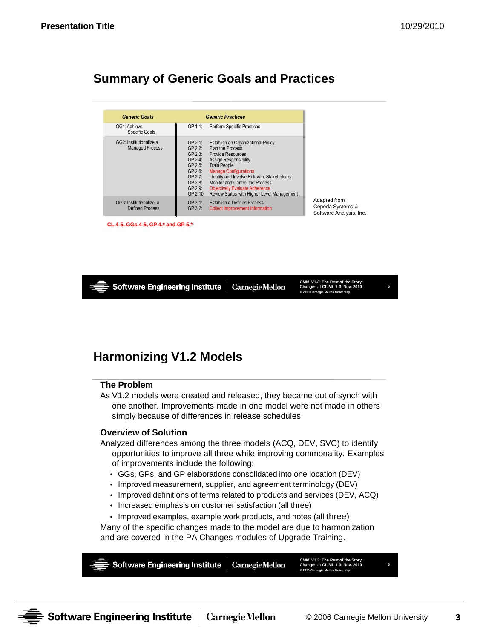### **Summary of Generic Goals and Practices**

| <b>Generic Goals</b>                              | <b>Generic Practices</b>                                                                                                                                                                                                                                                                                                                                                                                                                                     |
|---------------------------------------------------|--------------------------------------------------------------------------------------------------------------------------------------------------------------------------------------------------------------------------------------------------------------------------------------------------------------------------------------------------------------------------------------------------------------------------------------------------------------|
| GG1: Achieve<br>Specific Goals                    | GP 1.1:<br>Perform Specific Practices                                                                                                                                                                                                                                                                                                                                                                                                                        |
| GG2: Institutionalize a<br><b>Managed Process</b> | GP 2.1:<br>Establish an Organizational Policy<br>Plan the Process<br>$GP$ 2.2:<br>$GP$ 2.3:<br>Provide Resources<br>GP 2.4:<br><b>Assign Responsibility</b><br><b>Train People</b><br>GP 2.5:<br>GP 2.6:<br><b>Manage Configurations</b><br>Identify and Involve Relevant Stakeholders<br>GP 2.7:<br>Monitor and Control the Process<br>GP 2.8<br>GP 2.9:<br><b>Objectively Evaluate Adherence</b><br>Review Status with Higher Level Management<br>GP 2.10: |
| GG3: Institutionalize a<br>Defined Process        | GP 3.1:<br><b>Establish a Defined Process</b><br>GP 3.2:<br><b>Collect Improvement Information</b>                                                                                                                                                                                                                                                                                                                                                           |

**CL 4-5, GGs 4-5, GP 4.\* and GP 5.\***



# **Harmonizing V1.2 Models**

### **The Problem**

As V1.2 models were created and released, they became out of synch with one another. Improvements made in one model were not made in others simply because of differences in release schedules.

### **Overview of Solution**

Analyzed differences among the three models (ACQ, DEV, SVC) to identify opportunities to improve all three while improving commonality. Examples of improvements include the following:

- GGs, GPs, and GP elaborations consolidated into one location (DEV)
- Improved measurement, supplier, and agreement terminology (DEV)
- Improved definitions of terms related to products and services (DEV, ACQ)
- Increased emphasis on customer satisfaction (all three)
- Improved examples, example work products, and notes (all three)

Many of the specific changes made to the model are due to harmonization and are covered in the PA Changes modules of Upgrade Training.



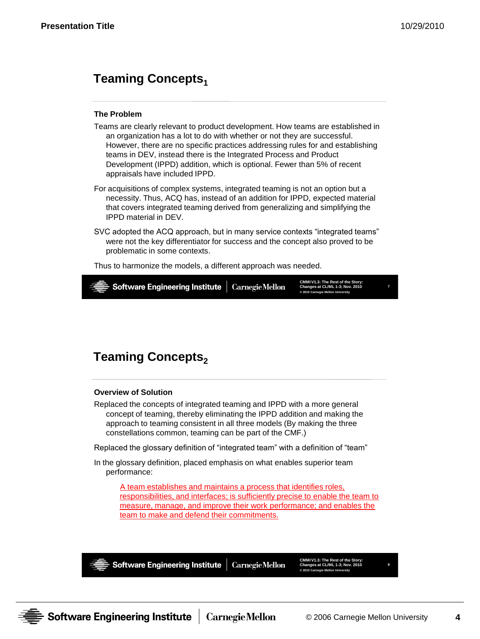### **Teaming Concepts**<sup>1</sup>

#### **The Problem**

- Teams are clearly relevant to product development. How teams are established in an organization has a lot to do with whether or not they are successful. However, there are no specific practices addressing rules for and establishing teams in DEV, instead there is the Integrated Process and Product Development (IPPD) addition, which is optional. Fewer than 5% of recent appraisals have included IPPD.
- For acquisitions of complex systems, integrated teaming is not an option but a necessity. Thus, ACQ has, instead of an addition for IPPD, expected material that covers integrated teaming derived from generalizing and simplifying the IPPD material in DEV.
- SVC adopted the ACQ approach, but in many service contexts "integrated teams" were not the key differentiator for success and the concept also proved to be problematic in some contexts.

Thus to harmonize the models, a different approach was needed.



### **Teaming Concepts**<sub>2</sub>

#### **Overview of Solution**

Replaced the concepts of integrated teaming and IPPD with a more general concept of teaming, thereby eliminating the IPPD addition and making the approach to teaming consistent in all three models (By making the three constellations common, teaming can be part of the CMF.)

Replaced the glossary definition of "integrated team" with a definition of "team"

In the glossary definition, placed emphasis on what enables superior team performance:

A team establishes and maintains a process that identifies roles, responsibilities, and interfaces; is sufficiently precise to enable the team to measure, manage, and improve their work performance; and enables the team to make and defend their commitments.



**Software Engineering Institute** 

**CarnegieMellon** 

**CMMI V1.3: The Rest of the Story: Changes at CL/ML 1-3; Nov. 2010 © 2010 Carnegie Mellon University**

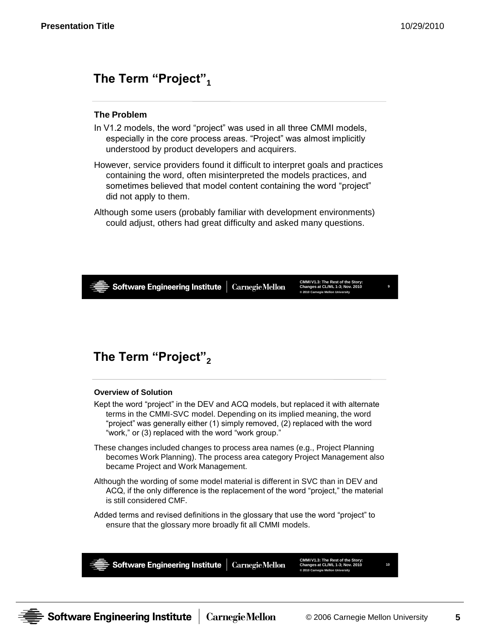## **The Term "Project"<sup>1</sup>**

### **The Problem**

- In V1.2 models, the word "project" was used in all three CMMI models, especially in the core process areas. "Project" was almost implicitly understood by product developers and acquirers.
- However, service providers found it difficult to interpret goals and practices containing the word, often misinterpreted the models practices, and sometimes believed that model content containing the word "project" did not apply to them.
- Although some users (probably familiar with development environments) could adjust, others had great difficulty and asked many questions.



# **The Term "Project"<sup>2</sup>**

### **Overview of Solution**

- Kept the word "project" in the DEV and ACQ models, but replaced it with alternate terms in the CMMI-SVC model. Depending on its implied meaning, the word "project" was generally either (1) simply removed, (2) replaced with the word "work," or (3) replaced with the word "work group."
- These changes included changes to process area names (e.g., Project Planning becomes Work Planning). The process area category Project Management also became Project and Work Management.
- Although the wording of some model material is different in SVC than in DEV and ACQ, if the only difference is the replacement of the word "project," the material is still considered CMF.
- Added terms and revised definitions in the glossary that use the word "project" to ensure that the glossary more broadly fit all CMMI models.



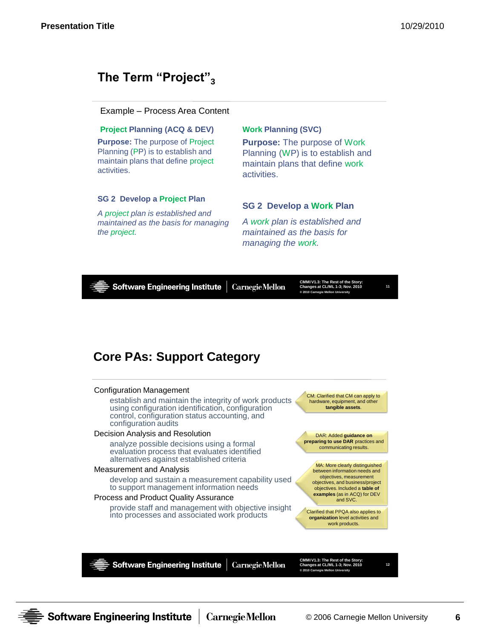# **The Term "Project"<sup>3</sup>**

### Example – Process Area Content

#### **Project Planning (ACQ & DEV)**

**Purpose:** The purpose of Project Planning (PP) is to establish and maintain plans that define project activities.

#### **SG 2 Develop a Project Plan**

*A project plan is established and maintained as the basis for managing the project.*

### **Work Planning (SVC)**

**Purpose:** The purpose of Work Planning (WP) is to establish and maintain plans that define work activities.

### **SG 2 Develop a Work Plan**

*A work plan is established and maintained as the basis for managing the work.*



control, configuration status accounting, and configuration audits

#### Decision Analysis and Resolution

analyze possible decisions using a formal evaluation process that evaluates identified alternatives against established criteria

#### Measurement and Analysis

develop and sustain a measurement capability used to support management information needs

#### Process and Product Quality Assurance

provide staff and management with objective insight into processes and associated work products

DAR: Added **guidance on preparing to use DAR** practices and

communicating results.

MA: More clearly distinguished between information needs and objectives, measurement objectives, and business/project objectives. Included a **table of examples** (as in ACQ) for DEV and SVC.

Clarified that PPQA also applies to **organization** level activities and work products.

**Software Engineering Institute CarnegieMellon** 

**CMMI V1.3: The Rest of the Story: Changes at CL/ML 1-3; Nov. 2010 © 2010 Carnegie Mellon University**

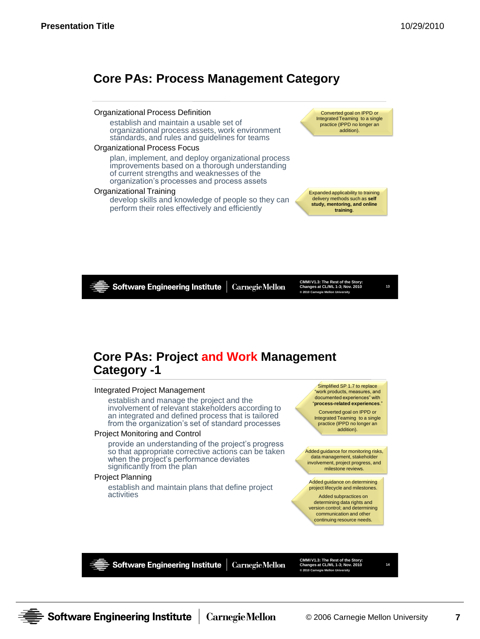## **Core PAs: Process Management Category**

#### Organizational Process Definition establish and maintain a usable set of organizational process assets, work environment standards, and rules and guidelines for teams Organizational Process Focus plan, implement, and deploy organizational process improvements based on a thorough understanding of current strengths and weaknesses of the organization's processes and process assets Organizational Training develop skills and knowledge of people so they can perform their roles effectively and efficiently

Converted goal on IPPD or Integrated Teaming to a single practice (IPPD no longer an addition).

Expanded applicability to training delivery methods such as **self study, mentoring, and online training**.

**Software Engineering Institute** 

**Carnegie Mellon** 

**CMMI V1.3: The Rest of the Story: Changes at CL/ML 1-3; Nov. 2010 © 2010 Carnegie Mellon University**

**13**

### **Core PAs: Project and Work Management Category -1**

#### Integrated Project Management

establish and manage the project and the involvement of relevant stakeholders according to an integrated and defined process that is tailored from the organization's set of standard processes

#### Project Monitoring and Control

provide an understanding of the project's progress so that appropriate corrective actions can be taken when the project's performance deviates significantly from the plan

#### Project Planning

establish and maintain plans that define project activities

Simplified SP 1.7 to replace work products, measures, and documented experiences" with "**process-related experiences**." Converted goal on IPPD or

Integrated Teaming to a single practice (IPPD no longer an addition).

Added guidance for monitoring risks, data management, stakeholder involvement, project progress, and milestone reviews.

Added guidance on determining project lifecycle and milestones.

Added subpractices on determining data rights and version control; and determining communication and other continuing resource needs.

**Software Engineering Institute** 

**CarnegieMellon** 

**CMMI V1.3: The Rest of the Story: Changes at CL/ML 1-3; Nov. 2010 © 2010 Carnegie Mellon University**

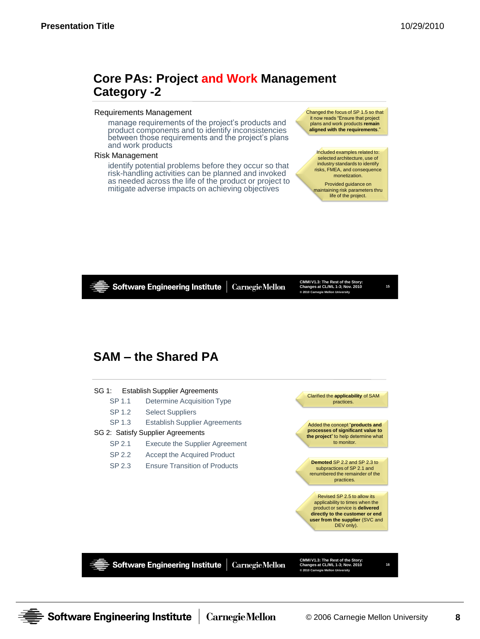### **Core PAs: Project and Work Management Category -2**

#### Requirements Management

manage requirements of the project's products and product components and to identify inconsistencies between those requirements and the project's plans and work products

#### Risk Management

identify potential problems before they occur so that risk-handling activities can be planned and invoked as needed across the life of the product or project to mitigate adverse impacts on achieving objectives

Changed the focus of SP 1.5 so that it now reads "Ensure that project plans and work products **remain aligned with the requirements**."

Included examples related to: selected architecture, use of industry standards to identify risks, FMEA, and consequence monetization.

Provided guidance on maintaining risk parameters thru life of the project.



**15**

### **SAM – the Shared PA**



**Software Engineering Institute** 

**CarnegieMellon** 

**CMMI V1.3: The Rest of the Story: Changes at CL/ML 1-3; Nov. 2010 © 2010 Carnegie Mellon University**

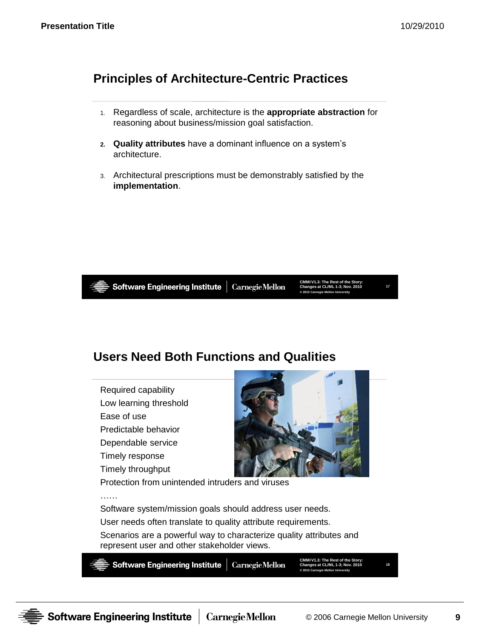# **Principles of Architecture-Centric Practices**

- 1. Regardless of scale, architecture is the **appropriate abstraction** for reasoning about business/mission goal satisfaction.
- **2. Quality attributes** have a dominant influence on a system's architecture.
- 3. Architectural prescriptions must be demonstrably satisfied by the **implementation**.



……

Software Engineering Institute | Carnegie Mellon

**CMMI V1.3: The Rest of the Story: Changes at CL/ML 1-3; Nov. 2010 © 2010 Carnegie Mellon University**

**17**

# **Users Need Both Functions and Qualities**

Required capability Low learning threshold Ease of use Predictable behavior Dependable service Timely response Timely throughput



Protection from unintended intruders and viruses

Software system/mission goals should address user needs. User needs often translate to quality attribute requirements. Scenarios are a powerful way to characterize quality attributes and represent user and other stakeholder views.



**CMMI V1.3: The Rest of the Story: Changes at CL/ML 1-3; Nov. 2010 © 2010 Carnegie Mellon University**

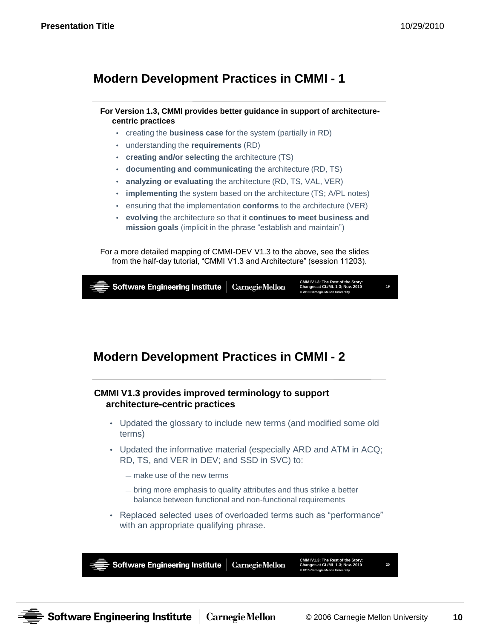**20**

### **Modern Development Practices in CMMI - 1**

### **For Version 1.3, CMMI provides better guidance in support of architecturecentric practices**

- creating the **business case** for the system (partially in RD)
- understanding the **requirements** (RD)
- **creating and/or selecting** the architecture (TS)
- **documenting and communicating** the architecture (RD, TS)
- **analyzing or evaluating** the architecture (RD, TS, VAL, VER)
- **implementing** the system based on the architecture (TS; A/PL notes)
- ensuring that the implementation **conforms** to the architecture (VER)
- **evolving** the architecture so that it **continues to meet business and mission goals** (implicit in the phrase "establish and maintain")

For a more detailed mapping of CMMI-DEV V1.3 to the above, see the slides from the half-day tutorial, "CMMI V1.3 and Architecture" (session 11203).



### **Modern Development Practices in CMMI - 2**

### **CMMI V1.3 provides improved terminology to support architecture-centric practices**

- Updated the glossary to include new terms (and modified some old terms)
- Updated the informative material (especially ARD and ATM in ACQ; RD, TS, and VER in DEV; and SSD in SVC) to:
	- make use of the new terms
	- bring more emphasis to quality attributes and thus strike a better balance between functional and non-functional requirements
- Replaced selected uses of overloaded terms such as "performance" with an appropriate qualifying phrase.



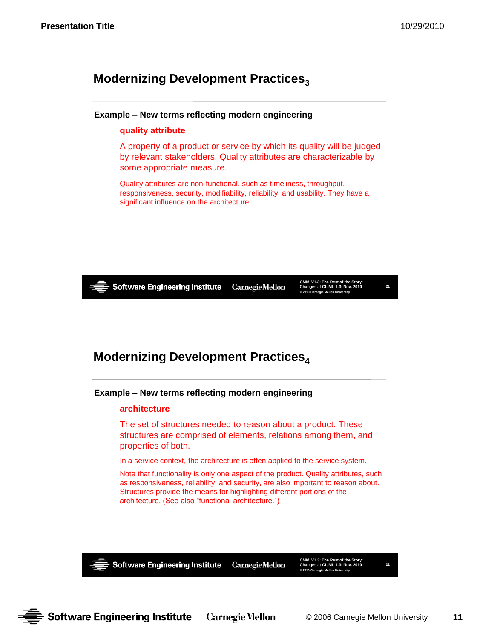# **Modernizing Development Practices**<sup>3</sup>

### **Example – New terms reflecting modern engineering**

### **quality attribute**

A property of a product or service by which its quality will be judged by relevant stakeholders. Quality attributes are characterizable by some appropriate measure.

Quality attributes are non-functional, such as timeliness, throughput, responsiveness, security, modifiability, reliability, and usability. They have a significant influence on the architecture.



Software Engineering Institute

**CarnegieMellon** 

**CMMI V1.3: The Rest of the Story: Changes at CL/ML 1-3; Nov. 2010 © 2010 Carnegie Mellon University**

**21**

# **Modernizing Development Practices<sup>4</sup>**

**Example – New terms reflecting modern engineering**

### **architecture**

The set of structures needed to reason about a product. These structures are comprised of elements, relations among them, and properties of both.

In a service context, the architecture is often applied to the service system.

Note that functionality is only one aspect of the product. Quality attributes, such as responsiveness, reliability, and security, are also important to reason about. Structures provide the means for highlighting different portions of the architecture. (See also "functional architecture.")



Software Engineering Institute

**CarnegieMellon** 

**CMMI V1.3: The Rest of the Story: Changes at CL/ML 1-3; Nov. 2010 © 2010 Carnegie Mellon University**

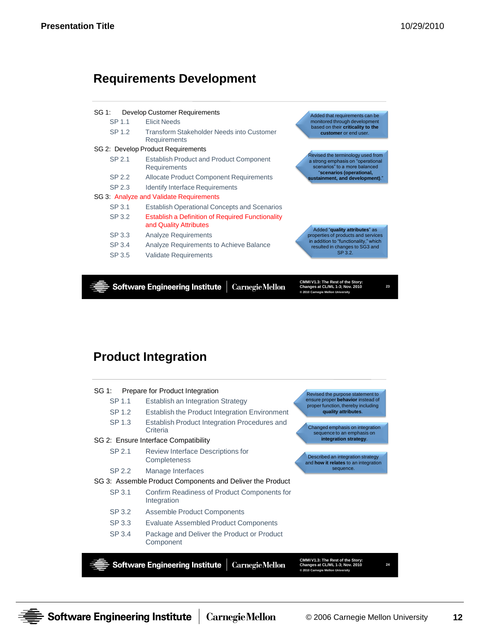### **Requirements Development**



**Software Engineering Institute** 

**CarnegieMellon** 

**CMMI V1.3: The Rest of the Story: Changes at CL/ML 1-3; Nov. 2010 © 2010 Carnegie Mellon University**

**23**

# **Product Integration**

|                                                           | SP 3.4 | Package and Deliver the Product or Product<br>Component    |                                                                           |  |
|-----------------------------------------------------------|--------|------------------------------------------------------------|---------------------------------------------------------------------------|--|
|                                                           | SP 3.3 | <b>Evaluate Assembled Product Components</b>               |                                                                           |  |
|                                                           | SP 3.2 | Assemble Product Components                                |                                                                           |  |
|                                                           | SP 3.1 | Confirm Readiness of Product Components for<br>Integration |                                                                           |  |
| SG 3: Assemble Product Components and Deliver the Product |        |                                                            |                                                                           |  |
|                                                           | SP 2.2 | Manage Interfaces                                          | sequence.                                                                 |  |
|                                                           | SP 2.1 | Review Interface Descriptions for<br>Completeness          | Described an integration strategy<br>and how it relates to an integration |  |
| SG 2: Ensure Interface Compatibility                      |        |                                                            | integration strategy.                                                     |  |
|                                                           | SP 1.3 | Establish Product Integration Procedures and<br>Criteria   | Changed emphasis on integration<br>sequence to an emphasis on             |  |
|                                                           | SP 1.2 | Establish the Product Integration Environment              | quality attributes.                                                       |  |
|                                                           | SP 1.1 | Establish an Integration Strategy                          | ensure proper behavior instead of<br>proper function, thereby including   |  |
| SG 1:                                                     |        | Prepare for Product Integration                            | Revised the purpose statement to                                          |  |

**© 2010 Carnegie Mellon University**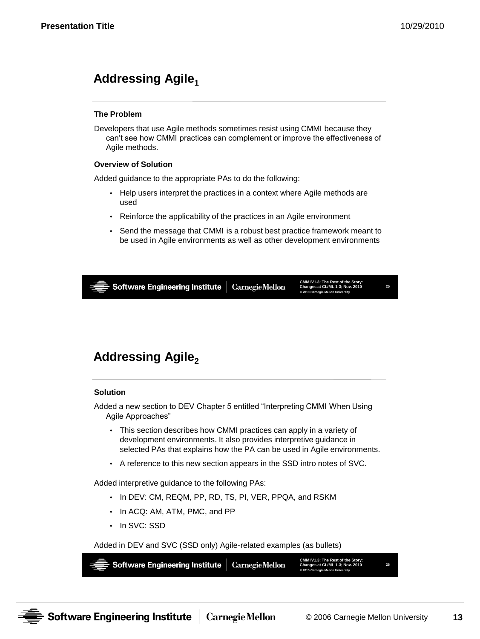**26**

# **Addressing Agile<sup>1</sup>**

### **The Problem**

Developers that use Agile methods sometimes resist using CMMI because they can't see how CMMI practices can complement or improve the effectiveness of Agile methods.

### **Overview of Solution**

Added guidance to the appropriate PAs to do the following:

- Help users interpret the practices in a context where Agile methods are used
- Reinforce the applicability of the practices in an Agile environment
- Send the message that CMMI is a robust best practice framework meant to be used in Agile environments as well as other development environments

**CMMI V1.3: The Rest of the Story: Software Engineering Institute CarnegieMellon Changes at CL/ML 1-3; Nov. 2010 25 © 2010 Carnegie Mellon University**

# **Addressing Agile<sup>2</sup>**

#### **Solution**

Added a new section to DEV Chapter 5 entitled "Interpreting CMMI When Using Agile Approaches"

- This section describes how CMMI practices can apply in a variety of development environments. It also provides interpretive guidance in selected PAs that explains how the PA can be used in Agile environments.
- A reference to this new section appears in the SSD intro notes of SVC.

Added interpretive guidance to the following PAs:

- In DEV: CM, REQM, PP, RD, TS, PI, VER, PPQA, and RSKM
- In ACQ: AM, ATM, PMC, and PP
- In SVC: SSD

Added in DEV and SVC (SSD only) Agile-related examples (as bullets)

**CMMI V1.3: The Rest of the Story: Changes at CL/ML 1-3; Nov. 2010 Software Engineering Institute CarnegieMellon © 2010 Carnegie Mellon University**

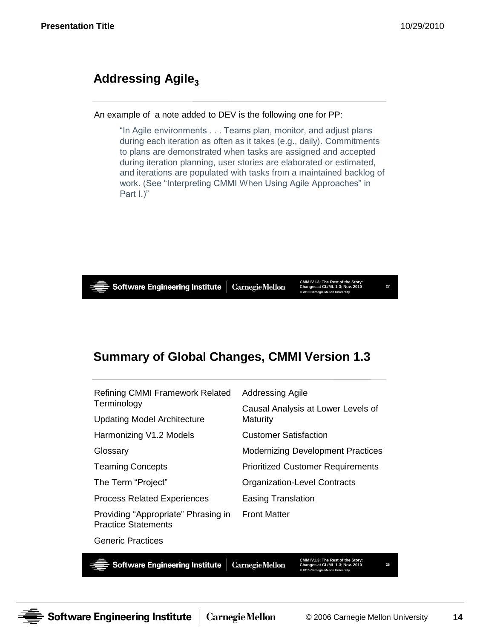# Addressing Agile<sub>3</sub>

An example of a note added to DEV is the following one for PP:

"In Agile environments . . . Teams plan, monitor, and adjust plans during each iteration as often as it takes (e.g., daily). Commitments to plans are demonstrated when tasks are assigned and accepted during iteration planning, user stories are elaborated or estimated, and iterations are populated with tasks from a maintained backlog of work. (See "Interpreting CMMI When Using Agile Approaches" in Part I.)"



# **Summary of Global Changes, CMMI Version 1.3**

| <b>Refining CMMI Framework Related</b>                            | Addressing Agile                         |  |
|-------------------------------------------------------------------|------------------------------------------|--|
| Terminology                                                       | Causal Analysis at Lower Levels of       |  |
| <b>Updating Model Architecture</b>                                | Maturity                                 |  |
| Harmonizing V1.2 Models                                           | <b>Customer Satisfaction</b>             |  |
| Glossary                                                          | <b>Modernizing Development Practices</b> |  |
| <b>Teaming Concepts</b>                                           | <b>Prioritized Customer Requirements</b> |  |
| The Term "Project"                                                | <b>Organization-Level Contracts</b>      |  |
| <b>Process Related Experiences</b>                                | Easing Translation                       |  |
| Providing "Appropriate" Phrasing in<br><b>Practice Statements</b> | <b>Front Matter</b>                      |  |
| <b>Generic Practices</b>                                          |                                          |  |

Software Engineering Institute

**CarnegieMellon** 

**CMMI V1.3: The Rest of the Story: Changes at CL/ML 1-3; Nov. 2010 © 2010 Carnegie Mellon University**